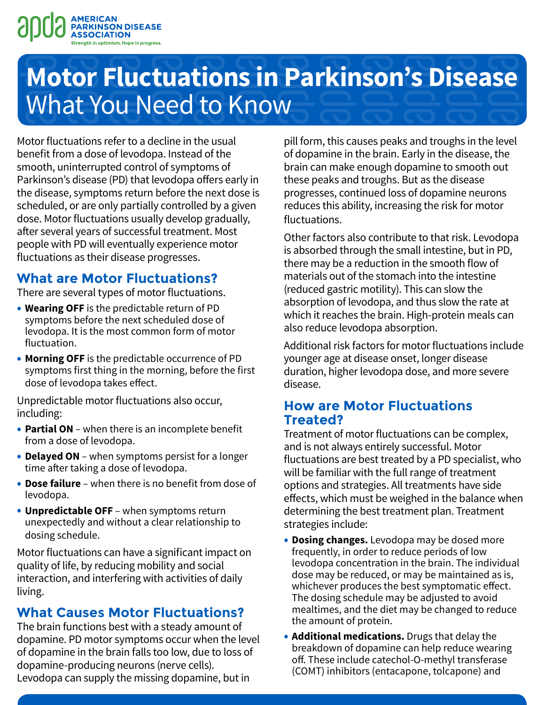

# **Motor Fluctuations in Parkinson's Disease**  What You Need to Know

Motor fluctuations refer to a decline in the usual benefit from a dose of levodopa. Instead of the smooth, uninterrupted control of symptoms of Parkinson's disease (PD) that levodopa offers early in the disease, symptoms return before the next dose is scheduled, or are only partially controlled by a given dose. Motor fluctuations usually develop gradually, after several years of successful treatment. Most people with PD will eventually experience motor fluctuations as their disease progresses.

## **What are Motor Fluctuations?**

There are several types of motor fluctuations.

- **Wearing OFF** is the predictable return of PD symptoms before the next scheduled dose of levodopa. It is the most common form of motor fluctuation.
- **Morning OFF** is the predictable occurrence of PD symptoms first thing in the morning, before the first dose of levodopa takes effect.

Unpredictable motor fluctuations also occur, including:

- **Partial ON** when there is an incomplete benefit from a dose of levodopa.
- **Delayed ON** when symptoms persist for a longer time after taking a dose of levodopa.
- **Dose failure** when there is no benefit from dose of levodopa.
- **Unpredictable OFF** when symptoms return unexpectedly and without a clear relationship to dosing schedule.

Motor fluctuations can have a significant impact on quality of life, by reducing mobility and social interaction, and interfering with activities of daily living.

## **What Causes Motor Fluctuations?**

The brain functions best with a steady amount of dopamine. PD motor symptoms occur when the level of dopamine in the brain falls too low, due to loss of dopamine-producing neurons (nerve cells). Levodopa can supply the missing dopamine, but in

pill form, this causes peaks and troughs in the level of dopamine in the brain. Early in the disease, the brain can make enough dopamine to smooth out these peaks and troughs. But as the disease progresses, continued loss of dopamine neurons reduces this ability, increasing the risk for motor fluctuations.

Other factors also contribute to that risk. Levodopa is absorbed through the small intestine, but in PD, there may be a reduction in the smooth flow of materials out of the stomach into the intestine (reduced gastric motility). This can slow the absorption of levodopa, and thus slow the rate at which it reaches the brain. High-protein meals can also reduce levodopa absorption.

Additional risk factors for motor fluctuations include younger age at disease onset, longer disease duration, higher levodopa dose, and more severe disease.

### **How are Motor Fluctuations Treated?**

Treatment of motor fluctuations can be complex, and is not always entirely successful. Motor fluctuations are best treated by a PD specialist, who will be familiar with the full range of treatment options and strategies. All treatments have side effects, which must be weighed in the balance when determining the best treatment plan. Treatment strategies include:

- **Dosing changes.** Levodopa may be dosed more frequently, in order to reduce periods of low levodopa concentration in the brain. The individual dose may be reduced, or may be maintained as is, whichever produces the best symptomatic effect. The dosing schedule may be adjusted to avoid mealtimes, and the diet may be changed to reduce the amount of protein.
- **Additional medications.** Drugs that delay the breakdown of dopamine can help reduce wearing off. These include catechol-O-methyl transferase (COMT) inhibitors (entacapone, tolcapone) and